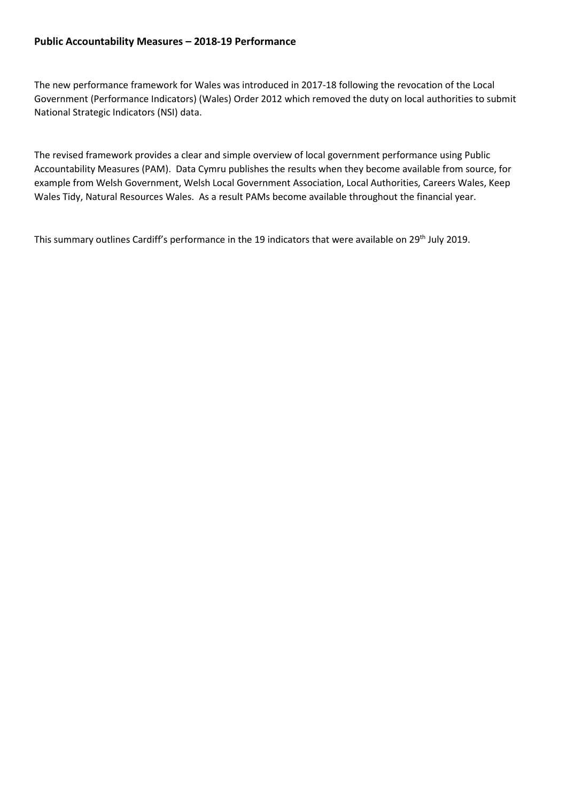## **Public Accountability Measures – 2018-19 Performance**

The new performance framework for Wales was introduced in 2017-18 following the revocation of the Local Government (Performance Indicators) (Wales) Order 2012 which removed the duty on local authorities to submit National Strategic Indicators (NSI) data.

The revised framework provides a clear and simple overview of local government performance using Public Accountability Measures (PAM). Data Cymru publishes the results when they become available from source, for example from Welsh Government, Welsh Local Government Association, Local Authorities, Careers Wales, Keep Wales Tidy, Natural Resources Wales. As a result PAMs become available throughout the financial year.

This summary outlines Cardiff's performance in the 19 indicators that were available on 29<sup>th</sup> July 2019.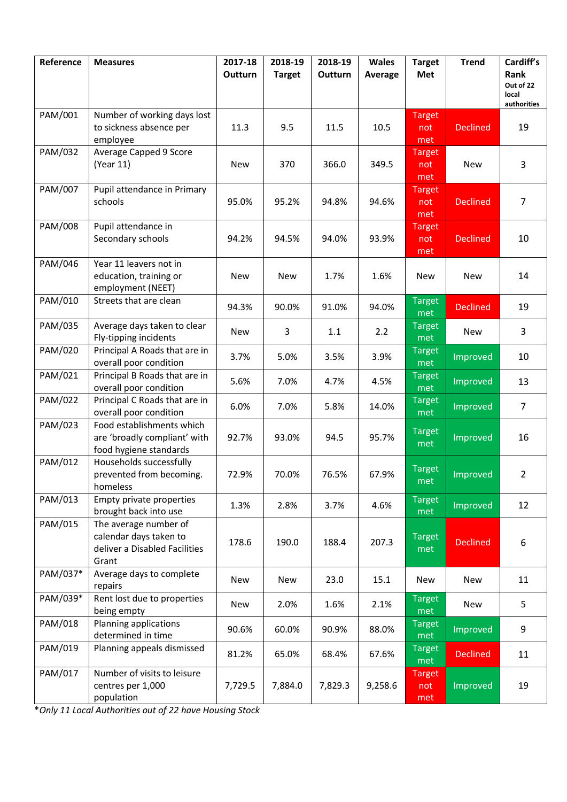| Reference | <b>Measures</b>                                                                           | 2017-18<br>Outturn | 2018-19<br><b>Target</b> | 2018-19<br>Outturn | <b>Wales</b><br>Average | <b>Target</b><br>Met        | <b>Trend</b>    | Cardiff's<br>Rank                 |
|-----------|-------------------------------------------------------------------------------------------|--------------------|--------------------------|--------------------|-------------------------|-----------------------------|-----------------|-----------------------------------|
|           |                                                                                           |                    |                          |                    |                         |                             |                 | Out of 22<br>local<br>authorities |
| PAM/001   | Number of working days lost<br>to sickness absence per<br>employee                        | 11.3               | 9.5                      | 11.5               | 10.5                    | <b>Target</b><br>not<br>met | <b>Declined</b> | 19                                |
| PAM/032   | Average Capped 9 Score<br>(Year 11)                                                       | <b>New</b>         | 370                      | 366.0              | 349.5                   | <b>Target</b><br>not<br>met | New             | 3                                 |
| PAM/007   | Pupil attendance in Primary<br>schools                                                    | 95.0%              | 95.2%                    | 94.8%              | 94.6%                   | <b>Target</b><br>not<br>met | <b>Declined</b> | $\overline{7}$                    |
| PAM/008   | Pupil attendance in<br>Secondary schools                                                  | 94.2%              | 94.5%                    | 94.0%              | 93.9%                   | <b>Target</b><br>not<br>met | <b>Declined</b> | 10                                |
| PAM/046   | Year 11 leavers not in<br>education, training or<br>employment (NEET)                     | <b>New</b>         | New                      | 1.7%               | 1.6%                    | New                         | New             | 14                                |
| PAM/010   | Streets that are clean                                                                    | 94.3%              | 90.0%                    | 91.0%              | 94.0%                   | <b>Target</b><br>met        | <b>Declined</b> | 19                                |
| PAM/035   | Average days taken to clear<br>Fly-tipping incidents                                      | New                | 3                        | 1.1                | 2.2                     | <b>Target</b><br>met        | New             | 3                                 |
| PAM/020   | Principal A Roads that are in<br>overall poor condition                                   | 3.7%               | 5.0%                     | 3.5%               | 3.9%                    | <b>Target</b><br>met        | Improved        | 10                                |
| PAM/021   | Principal B Roads that are in<br>overall poor condition                                   | 5.6%               | 7.0%                     | 4.7%               | 4.5%                    | <b>Target</b><br>met        | Improved        | 13                                |
| PAM/022   | Principal C Roads that are in<br>overall poor condition                                   | 6.0%               | 7.0%                     | 5.8%               | 14.0%                   | <b>Target</b><br>met        | Improved        | $\overline{7}$                    |
| PAM/023   | Food establishments which<br>are 'broadly compliant' with<br>food hygiene standards       | 92.7%              | 93.0%                    | 94.5               | 95.7%                   | <b>Target</b><br>met        | Improved        | 16                                |
| PAM/012   | Households successfully<br>prevented from becoming.<br>homeless                           | 72.9%              | 70.0%                    | 76.5%              | 67.9%                   | <b>Target</b><br>met        | Improved        | $\overline{2}$                    |
| PAM/013   | Empty private properties<br>brought back into use                                         | 1.3%               | 2.8%                     | 3.7%               | 4.6%                    | <b>Target</b><br>met        | Improved        | 12                                |
| PAM/015   | The average number of<br>calendar days taken to<br>deliver a Disabled Facilities<br>Grant | 178.6              | 190.0                    | 188.4              | 207.3                   | <b>Target</b><br>met        | <b>Declined</b> | 6                                 |
| PAM/037*  | Average days to complete<br>repairs                                                       | New                | New                      | 23.0               | 15.1                    | New                         | New             | 11                                |
| PAM/039*  | Rent lost due to properties<br>being empty                                                | New                | 2.0%                     | 1.6%               | 2.1%                    | Target<br>met               | New             | 5                                 |
| PAM/018   | Planning applications<br>determined in time                                               | 90.6%              | 60.0%                    | 90.9%              | 88.0%                   | <b>Target</b><br>met        | Improved        | 9                                 |
| PAM/019   | Planning appeals dismissed                                                                | 81.2%              | 65.0%                    | 68.4%              | 67.6%                   | <b>Target</b><br>met        | <b>Declined</b> | 11                                |
| PAM/017   | Number of visits to leisure<br>centres per 1,000<br>population                            | 7,729.5            | 7,884.0                  | 7,829.3            | 9,258.6                 | <b>Target</b><br>not<br>met | Improved        | 19                                |

\**Only 11 Local Authorities out of 22 have Housing Stock*